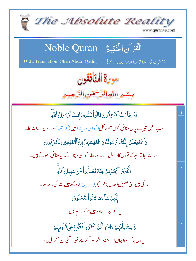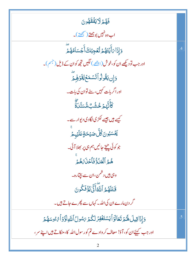فَهُمْ لَايَفْقَهُونَ اب وہ نہیں بوجھتے (سمجھتے )۔ <u>و</u>َإِذَا *بَ*أَيۡتَهُمۡ تُّعۡجِبُكَۚ أَجۡسَامُهُمۡٓ  $\overline{.4}$ اور جب تو دیکھے ان کو،خوش (اچ<u>ھے</u> ) لگیں تجھ کوان کے ڈیل (<sup>جس</sup>م )۔ دَإِن يَقُولُواْتَسُمَعُ لِقَوْلِهِمَّ اور اگر بات کہیں، سنے توان کی بات۔ ڿ<br>ڬٲۜڐ*؋*ڿۦڂۺ۫ٮ۠ۿ۠ڛؘڹۨڹۊ کیے ہیں جیسے لکڑی لگادی دیوار سے۔ <sub>.</sub><br>ڲٛٙٙ؊ڹ۠ۄڹؘڴ۠ڶٞۻؽؚٙڂۊؚؚٙڡؘڶؽٙؠؽۨٙ جو کوئی چیخ جا نیں ہم ہی پر بھلا آئی۔ هُمُ ٱلۡعَلۡوُّ فَٱحۡلَٰہَ ۡهُمۡ وہی ہیں دشمن،ان سے بچیّارہ۔ قَتَلَهُمُ ٱللَّهَٰٓأَذَّىٰنِهُۚ فَكُونَ گر دن مارے ان کی اللہ۔ کہاں سے پھرے جاتے ہیں۔ دَإِذَاقِيلَ لَهُمْ تَعَالَوْأَيَسْتَغْفِرُ لَكُمْ يَسُولُ أَللَّهِ لَوَّوْأَمُّ وُسَهُمْ  $\overline{.5}$ اور جب کہیۓان کو، آؤ! معاف کر دادے تم کورسول اللہ کا،مٹکاتے ہیں اپنے سر،  $\overline{2}$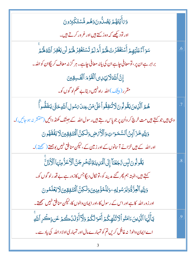| وَىَأَيۡتَهُمۡ لِمَصُلُّونَوَهُم مُّسۡتَكۡلِرُونَ                                                        |                |
|----------------------------------------------------------------------------------------------------------|----------------|
| اور تو دیکھے کہ وہ رُکتے ہیں اور غر ور کرتے ہیں۔                                                         |                |
| سَوَ آءٌ عَلَيۡهِمۡ أَسۡتَغۡفَرۡتَ لَهُمۡ أَمۡ لَمۡ تَسۡتَغۡفِرۡ لَهُمۡ لَن يَغۡفِرَ ٱللَّهُ لَهُ مُ     | $.6\,$         |
| برابر ہے ان پر، تومعافی چاہے ان کی یانہ معافی چاہے۔ ہر گزنہ معاف کریگاان کواللہ۔                         |                |
| إِنَّ ٱللَّهَلَايَهَدِى ٱلْقَوْمَ ٱلْقَسِقِينَ                                                           |                |
| مقرر ( بی <u>ش</u> ک )الله راه <sup>نہ</sup> یں دیتا بے حکم لو گوں کو۔                                   |                |
| ۿ۠؏ٱڷۜڕٛؠڹؘؾؘقؙٛۅڷۅڹؘڶات۠ڹڣؚڦۢۅٲڠٙڶۣ؋ۜڹۡۦۼڹۜٲ؆ۺۅڸٲڷڐۜۅڂڗۣ۠ۧ؉ؾؘڧؘؘڞ۠ٞۅٲؖۧ                                 | .7             |
| وہی ہیں جو کہتے ہیں مت خرچ کر واُن پر جو پاس رہتے ہیں رسول اللہ کے جبتک کھنڈ دائیں (منتشر نہ ہو جائیں )۔ |                |
| وَلِلَّهِ خَزَ آبِنُ ٱلسَّمَرَاتِ وَٱلْأَمۡصِ وَلَٰكِنَّ ٱلۡمُتَفِقِينَ لَا يَفۡقَهُونَ                  |                |
| اور اللہ کے ہیں خزانے آسانوں کے اور زمین کے ،لیکن منافق نہیں بوجھتے (صحیحتے)۔                            |                |
| يَقُولُونَ لَبِن تَجَعُنَا إِلَى ٱلْمَرِينَةِ لَيْخُرِجَنَّ ٱلْأَعَزُّ مِنْهَا ٱلْأَذَلَّ                | $\overline{8}$ |
| کہتے ہیں،البتہ ہم پھر گئے مدینہ کو،تو نکال دیگا <sup>جس</sup> کازور ہے بے قدرلو گوں کو۔                  |                |
| وَلِلَّهِ ٱلۡعِزَّةُۚوَلِرَسُولِهِۦوَلِلۡمُؤۡمِنِينَ وَلَٰكِنَّ ٱلۡمُتَفِقِينَ لَا يَعۡلَمُونَ           |                |
| اور زور اللہ کا ہے اور اس کے رسول کا،اور ایمان والوں کا،لیکن منافق نہیں سمجھتے۔                          |                |
| يٓٲٞؾ۠ؠؘٵٱڷۜڹؚؾؾؘٵڡؘڹ۠ۅٱڶڒؾ۠ڶۿ۪ػ۠ؽٙٲؘڡٞۊڷڴۿؘ؋ڶۜڒٲؘۉؘڶۮؙڂٛۿٷؾۏؚڂۘڔؚٱڷڸۜۅۨ                                 | .9             |
| اے ایمان دالو! نہ غافل کریں تم کو تمہارے مال اور تمہاری اولا د اللہ کی یاد سے۔                           |                |
|                                                                                                          |                |